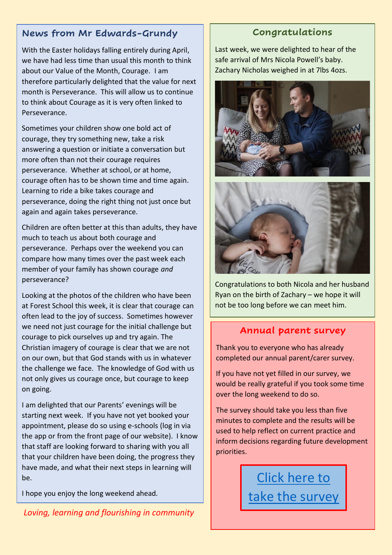# **News from Mr Edwards-Grundy**

With the Easter holidays falling entirely during April, we have had less time than usual this month to think about our Value of the Month, Courage. I am therefore particularly delighted that the value for next month is Perseverance. This will allow us to continue to think about Courage as it is very often linked to Perseverance.

Sometimes your children show one bold act of courage, they try something new, take a risk answering a question or initiate a conversation but more often than not their courage requires perseverance. Whether at school, or at home, courage often has to be shown time and time again. Learning to ride a bike takes courage and perseverance, doing the right thing not just once but again and again takes perseverance.

Children are often better at this than adults, they have much to teach us about both courage and perseverance. Perhaps over the weekend you can compare how many times over the past week each member of your family has shown courage *and* perseverance?

Looking at the photos of the children who have been at Forest School this week, it is clear that courage can often lead to the joy of success. Sometimes however we need not just courage for the initial challenge but courage to pick ourselves up and try again. The Christian imagery of courage is clear that we are not on our own, but that God stands with us in whatever the challenge we face. The knowledge of God with us not only gives us courage once, but courage to keep on going.

I am delighted that our Parents' evenings will be starting next week. If you have not yet booked your appointment, please do so using e-schools (log in via the app or from the front page of our website). I know that staff are looking forward to sharing with you all that your children have been doing, the progress they have made, and what their next steps in learning will be.

I hope you enjoy the long weekend ahead.

*Loving, learning and flourishing in community*

# **Congratulations**

Last week, we were delighted to hear of the safe arrival of Mrs Nicola Powell's baby. Zachary Nicholas weighed in at 7lbs 4ozs.





Congratulations to both Nicola and her husband Ryan on the birth of Zachary – we hope it will not be too long before we can meet him.

## **Annual parent survey**

Thank you to everyone who has already completed our annual parent/carer survey.

If you have not yet filled in our survey, we would be really grateful if you took some time over the long weekend to do so.

The survey should take you less than five minutes to complete and the results will be used to help reflect on current practice and inform decisions regarding future development priorities.

> [Click here to](https://forms.office.com/Pages/ResponsePage.aspx?id=5htDiwHfCU6Zdo2JMMrvkyBN07g1AqRIqNf9dCuCtFBUQzZVMzYwQldYR0VDV1RTTEtKMlJYSkpSNy4u)  [take the survey](https://forms.office.com/Pages/ResponsePage.aspx?id=5htDiwHfCU6Zdo2JMMrvkyBN07g1AqRIqNf9dCuCtFBUQzZVMzYwQldYR0VDV1RTTEtKMlJYSkpSNy4u)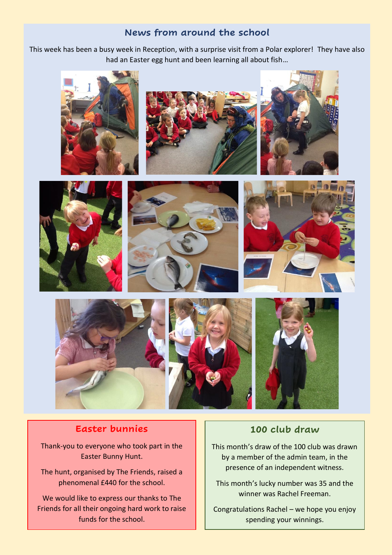### **News from around the school**

This week has been a busy week in Reception, with a surprise visit from a Polar explorer! They have also had an Easter egg hunt and been learning all about fish…



### **Easter bunnies**

í

Thank-you to everyone who took part in the Easter Bunny Hunt.

The hunt, organised by The Friends, raised a phenomenal £440 for the school.

We would like to express our thanks to The Friends for all their ongoing hard work to raise funds for the school.

#### **100 club draw**

This month's draw of the 100 club was drawn by a member of the admin team, in the presence of an independent witness.

This month's lucky number was 35 and the winner was Rachel Freeman.

Congratulations Rachel – we hope you enjoy spending your winnings.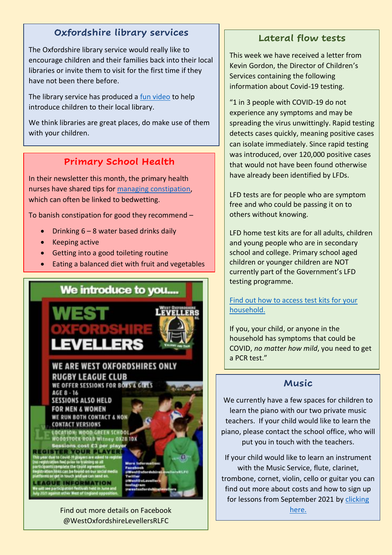# **Oxfordshire library services**

The Oxfordshire library service would really like to encourage children and their families back into their local libraries or invite them to visit for the first time if they have not been there before.

The library service has produced a [fun video](https://vimeo.com/485387049/ea992e6fe3) to help introduce children to their local library.

We think libraries are great places, do make use of them with your children.

## **Primary School Health**

In their newsletter this month, the primary health nurses have shared tips for [managing constipation,](https://www.eric.org.uk/) which can often be linked to bedwetting.

To banish constipation for good they recommend –

- Drinking 6 8 water based drinks daily
- Keeping active
- Getting into a good toileting routine
- Eating a balanced diet with fruit and vegetables



@WestOxfordshireLevellersRLFC

# **Lateral flow tests**

This week we have received a letter from Kevin Gordon, the Director of Children's Services containing the following information about Covid-19 testing.

"1 in 3 people with COVID-19 do not experience any symptoms and may be spreading the virus unwittingly. Rapid testing detects cases quickly, meaning positive cases can isolate immediately. Since rapid testing was introduced, over 120,000 positive cases that would not have been found otherwise have already been identified by LFDs.

LFD tests are for people who are symptom free and who could be passing it on to others without knowing.

LFD home test kits are for all adults, children and young people who are in secondary school and college. Primary school aged children or younger children are NOT currently part of the Government's LFD testing programme.

[Find out how to access test kits for your](https://www.nhs.uk/conditions/coronavirus-covid-19/testing/regular-rapid-coronavirus-tests-if-you-do-not-have-symptoms/) [household.](https://www.nhs.uk/conditions/coronavirus-covid-19/testing/regular-rapid-coronavirus-tests-if-you-do-not-have-symptoms/)

If you, your child, or anyone in the household has symptoms that could be COVID, *no matter how mild*, you need to get a PCR test."

## **Music**

We currently have a few spaces for children to learn the piano with our two private music teachers. If your child would like to learn the piano, please contact the school office, who will put you in touch with the teachers.

If your child would like to learn an instrument with the Music Service, flute, clarinet, trombone, cornet, violin, cello or guitar you can find out more about costs and how to sign up for lessons from September 2021 by [clicking](https://www.oxfordshire.gov.uk/residents/music-service.) 

[here.](https://www.oxfordshire.gov.uk/residents/music-service.)